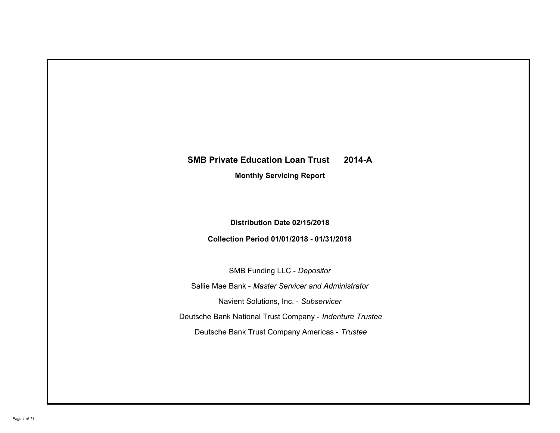# **SMB Private Education Loan Trust 2014-A**

**Monthly Servicing Report**

## **Distribution Date 02/15/2018**

# **Collection Period 01/01/2018 - 01/31/2018**

SMB Funding LLC - *Depositor* Sallie Mae Bank - *Master Servicer and Administrator* Deutsche Bank National Trust Company - *Indenture Trustee* Deutsche Bank Trust Company Americas - *Trustee* Navient Solutions, Inc. - *Subservicer*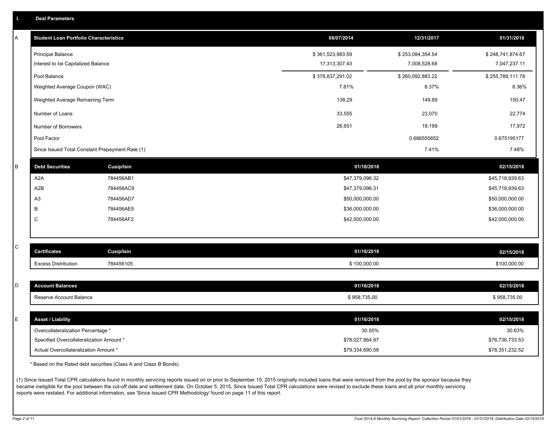| I. Deal Parameters |  |  |
|--------------------|--|--|
|                    |  |  |
|                    |  |  |

| A | <b>Student Loan Portfolio Characteristics</b> |                                                 | 08/07/2014       | 12/31/2017       | 01/31/2018       |
|---|-----------------------------------------------|-------------------------------------------------|------------------|------------------|------------------|
|   | <b>Principal Balance</b>                      |                                                 | \$361,523,983.59 | \$253,084,354.54 | \$248,741,874.67 |
|   | Interest to be Capitalized Balance            |                                                 | 17,313,307.43    | 7,008,528.68     | 7,047,237.11     |
|   | Pool Balance                                  |                                                 | \$378,837,291.02 | \$260,092,883.22 | \$255,789,111.78 |
|   | Weighted Average Coupon (WAC)                 |                                                 | 7.81%            | 8.37%            | 8.36%            |
|   | Weighted Average Remaining Term               |                                                 | 138.29           | 149.89           | 150.47           |
|   | Number of Loans                               |                                                 | 33,555           | 23,070           | 22,774           |
|   | Number of Borrowers                           |                                                 | 26,651           | 18,199           | 17,972           |
|   | Pool Factor                                   |                                                 |                  | 0.686555652      | 0.675195177      |
|   |                                               | Since Issued Total Constant Prepayment Rate (1) |                  | 7.41%            | 7.48%            |
| B | <b>Debt Securities</b>                        | <b>Cusip/Isin</b>                               | 01/16/2018       |                  | 02/15/2018       |
|   | A <sub>2</sub> A                              | 784456AB1                                       | \$47,379,096.32  |                  | \$45,718,939.63  |
|   | A <sub>2</sub> B                              | 784456AC9                                       | \$47,379,096.31  |                  | \$45,718,939.63  |
|   | A3                                            | 784456AD7                                       | \$50,000,000.00  |                  | \$50,000,000.00  |
|   | B                                             | 784456AE5                                       | \$36,000,000.00  |                  | \$36,000,000.00  |
|   | C                                             | 784456AF2                                       | \$42,000,000.00  |                  | \$42,000,000.00  |
|   |                                               |                                                 |                  |                  |                  |
| С | <b>Certificates</b>                           | <b>Cusip/Isin</b>                               | 01/16/2018       |                  | 02/15/2018       |
|   | <b>Excess Distribution</b>                    | 784456105                                       | \$100,000.00     |                  | \$100,000.00     |
|   |                                               |                                                 |                  |                  |                  |
| D | <b>Account Balances</b>                       |                                                 | 01/16/2018       |                  | 02/15/2018       |
|   | Reserve Account Balance                       |                                                 | \$958,735.00     |                  | \$958,735.00     |
|   |                                               |                                                 |                  |                  |                  |
| Е | <b>Asset / Liability</b>                      |                                                 | 01/16/2018       |                  | 02/15/2018       |
|   | Overcollateralization Percentage *            |                                                 |                  | 30.50%           | 30.63%           |
|   | Specified Overcollateralization Amount *      |                                                 | \$78,027,864.97  |                  | \$76,736,733.53  |
|   | Actual Overcollateralization Amount *         |                                                 | \$79,334,690.59  |                  | \$78,351,232.52  |

\* Based on the Rated debt securities (Class A and Class B Bonds)

(1) Since Issued Total CPR calculations found in monthly servicing reports issued on or prior to September 15, 2015 originally included loans that were removed from the pool by the sponsor because they became ineligible for the pool between the cut-off date and settlement date. On October 5, 2015, Since Issued Total CPR calculations were revised to exclude these loans and all prior monthly servicing reports were restated. For additional information, see 'Since Issued CPR Methodology' found on page 11 of this report.

C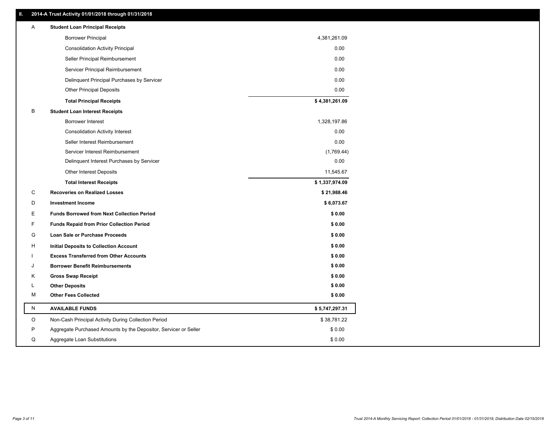## **II. 2014-A Trust Activity 01/01/2018 through 01/31/2018**

| Α           | <b>Student Loan Principal Receipts</b>                           |                |
|-------------|------------------------------------------------------------------|----------------|
|             | <b>Borrower Principal</b>                                        | 4,381,261.09   |
|             | <b>Consolidation Activity Principal</b>                          | 0.00           |
|             | Seller Principal Reimbursement                                   | 0.00           |
|             | Servicer Principal Reimbursement                                 | 0.00           |
|             | Delinquent Principal Purchases by Servicer                       | 0.00           |
|             | <b>Other Principal Deposits</b>                                  | 0.00           |
|             | <b>Total Principal Receipts</b>                                  | \$4,381,261.09 |
| В           | <b>Student Loan Interest Receipts</b>                            |                |
|             | Borrower Interest                                                | 1,328,197.86   |
|             | <b>Consolidation Activity Interest</b>                           | 0.00           |
|             | Seller Interest Reimbursement                                    | 0.00           |
|             | Servicer Interest Reimbursement                                  | (1,769.44)     |
|             | Delinquent Interest Purchases by Servicer                        | 0.00           |
|             | <b>Other Interest Deposits</b>                                   | 11,545.67      |
|             | <b>Total Interest Receipts</b>                                   | \$1,337,974.09 |
| $\mathbf C$ | <b>Recoveries on Realized Losses</b>                             | \$21,988.46    |
| D           | <b>Investment Income</b>                                         | \$6,073.67     |
| Е           | <b>Funds Borrowed from Next Collection Period</b>                | \$0.00         |
| F           | <b>Funds Repaid from Prior Collection Period</b>                 | \$0.00         |
| G           | <b>Loan Sale or Purchase Proceeds</b>                            | \$0.00         |
| н           | Initial Deposits to Collection Account                           | \$0.00         |
|             | <b>Excess Transferred from Other Accounts</b>                    | \$0.00         |
| J           | <b>Borrower Benefit Reimbursements</b>                           | \$0.00         |
| Κ           | <b>Gross Swap Receipt</b>                                        | \$0.00         |
| L           | <b>Other Deposits</b>                                            | \$0.00         |
| M           | <b>Other Fees Collected</b>                                      | \$0.00         |
| ${\sf N}$   | <b>AVAILABLE FUNDS</b>                                           | \$5,747,297.31 |
| $\circ$     | Non-Cash Principal Activity During Collection Period             | \$38,781.22    |
| P           | Aggregate Purchased Amounts by the Depositor, Servicer or Seller | \$0.00         |
| Q           | Aggregate Loan Substitutions                                     | \$0.00         |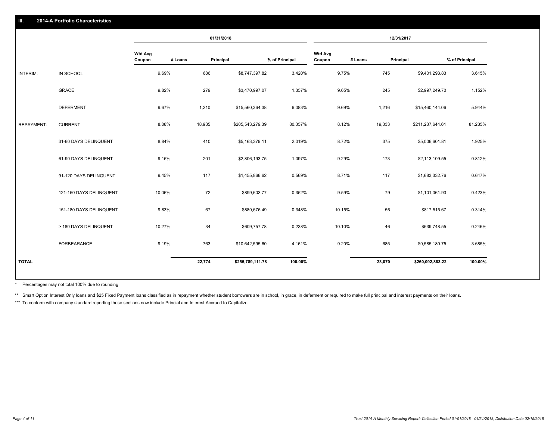#### **III. 2014-A Portfolio Characteristics**

|                   |                         |                          |         | 01/31/2018 |                  |                |                          | 12/31/2017 |           |                  |                |
|-------------------|-------------------------|--------------------------|---------|------------|------------------|----------------|--------------------------|------------|-----------|------------------|----------------|
|                   |                         | <b>Wtd Avg</b><br>Coupon | # Loans | Principal  |                  | % of Principal | <b>Wtd Avg</b><br>Coupon | # Loans    | Principal |                  | % of Principal |
| INTERIM:          | IN SCHOOL               | 9.69%                    | 686     |            | \$8,747,397.82   | 3.420%         |                          | 9.75%      | 745       | \$9,401,293.83   | 3.615%         |
|                   | GRACE                   | 9.82%                    | 279     |            | \$3,470,997.07   | 1.357%         |                          | 9.65%      | 245       | \$2,997,249.70   | 1.152%         |
|                   | <b>DEFERMENT</b>        | 9.67%                    | 1,210   |            | \$15,560,364.38  | 6.083%         |                          | 9.69%      | 1,216     | \$15,460,144.06  | 5.944%         |
| <b>REPAYMENT:</b> | <b>CURRENT</b>          | 8.08%                    | 18,935  |            | \$205,543,279.39 | 80.357%        |                          | 8.12%      | 19,333    | \$211,287,644.61 | 81.235%        |
|                   | 31-60 DAYS DELINQUENT   | 8.84%                    | 410     |            | \$5,163,379.11   | 2.019%         |                          | 8.72%      | 375       | \$5,006,601.81   | 1.925%         |
|                   | 61-90 DAYS DELINQUENT   | 9.15%                    | 201     |            | \$2,806,193.75   | 1.097%         |                          | 9.29%      | 173       | \$2,113,109.55   | 0.812%         |
|                   | 91-120 DAYS DELINQUENT  | 9.45%                    | 117     |            | \$1,455,866.62   | 0.569%         |                          | 8.71%      | 117       | \$1,683,332.76   | 0.647%         |
|                   | 121-150 DAYS DELINQUENT | 10.06%                   | 72      |            | \$899,603.77     | 0.352%         |                          | 9.59%      | 79        | \$1,101,061.93   | 0.423%         |
|                   | 151-180 DAYS DELINQUENT | 9.83%                    | 67      |            | \$889,676.49     | 0.348%         |                          | 10.15%     | 56        | \$817,515.67     | 0.314%         |
|                   | > 180 DAYS DELINQUENT   | 10.27%                   | 34      |            | \$609,757.78     | 0.238%         |                          | 10.10%     | 46        | \$639,748.55     | 0.246%         |
|                   | FORBEARANCE             | 9.19%                    | 763     |            | \$10,642,595.60  | 4.161%         |                          | 9.20%      | 685       | \$9,585,180.75   | 3.685%         |
| <b>TOTAL</b>      |                         |                          | 22,774  |            | \$255,789,111.78 | 100.00%        |                          |            | 23,070    | \$260,092,883.22 | 100.00%        |
|                   |                         |                          |         |            |                  |                |                          |            |           |                  |                |

Percentages may not total 100% due to rounding \*

\*\* Smart Option Interest Only loans and \$25 Fixed Payment loans classified as in repayment whether student borrowers are in school, in grace, in deferment or required to make full principal and interest payments on their l

\*\*\* To conform with company standard reporting these sections now include Princial and Interest Accrued to Capitalize.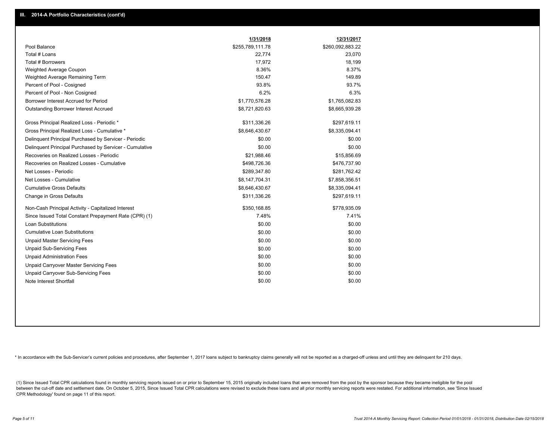|                                                         | 1/31/2018        | 12/31/2017       |
|---------------------------------------------------------|------------------|------------------|
| Pool Balance                                            | \$255,789,111.78 | \$260,092,883.22 |
| Total # Loans                                           | 22,774           | 23,070           |
| Total # Borrowers                                       | 17,972           | 18,199           |
| <b>Weighted Average Coupon</b>                          | 8.36%            | 8.37%            |
| Weighted Average Remaining Term                         | 150.47           | 149.89           |
| Percent of Pool - Cosigned                              | 93.8%            | 93.7%            |
| Percent of Pool - Non Cosigned                          | 6.2%             | 6.3%             |
| Borrower Interest Accrued for Period                    | \$1,770,576.28   | \$1,765,082.83   |
| <b>Outstanding Borrower Interest Accrued</b>            | \$8,721,820.63   | \$8,665,939.28   |
| Gross Principal Realized Loss - Periodic *              | \$311,336.26     | \$297,619.11     |
| Gross Principal Realized Loss - Cumulative *            | \$8,646,430.67   | \$8,335,094.41   |
| Delinguent Principal Purchased by Servicer - Periodic   | \$0.00           | \$0.00           |
| Delinquent Principal Purchased by Servicer - Cumulative | \$0.00           | \$0.00           |
| Recoveries on Realized Losses - Periodic                | \$21,988.46      | \$15,856.69      |
| Recoveries on Realized Losses - Cumulative              | \$498,726.36     | \$476,737.90     |
| Net Losses - Periodic                                   | \$289,347.80     | \$281,762.42     |
| Net Losses - Cumulative                                 | \$8,147,704.31   | \$7,858,356.51   |
| <b>Cumulative Gross Defaults</b>                        | \$8,646,430.67   | \$8,335,094.41   |
| Change in Gross Defaults                                | \$311,336.26     | \$297,619.11     |
| Non-Cash Principal Activity - Capitalized Interest      | \$350,168.85     | \$778,935.09     |
| Since Issued Total Constant Prepayment Rate (CPR) (1)   | 7.48%            | 7.41%            |
| Loan Substitutions                                      | \$0.00           | \$0.00           |
| <b>Cumulative Loan Substitutions</b>                    | \$0.00           | \$0.00           |
| <b>Unpaid Master Servicing Fees</b>                     | \$0.00           | \$0.00           |
| <b>Unpaid Sub-Servicing Fees</b>                        | \$0.00           | \$0.00           |
| <b>Unpaid Administration Fees</b>                       | \$0.00           | \$0.00           |
| <b>Unpaid Carryover Master Servicing Fees</b>           | \$0.00           | \$0.00           |
| <b>Unpaid Carryover Sub-Servicing Fees</b>              | \$0.00           | \$0.00           |
| Note Interest Shortfall                                 | \$0.00           | \$0.00           |

\* In accordance with the Sub-Servicer's current policies and procedures, after September 1, 2017 loans subject to bankruptcy claims generally will not be reported as a charged-off unless and until they are delinquent for 2

(1) Since Issued Total CPR calculations found in monthly servicing reports issued on or prior to September 15, 2015 originally included loans that were removed from the pool by the sponsor because they became ineligible fo between the cut-off date and settlement date. On October 5, 2015, Since Issued Total CPR calculations were revised to exclude these loans and all prior monthly servicing reports were restated. For additional information, s CPR Methodology' found on page 11 of this report.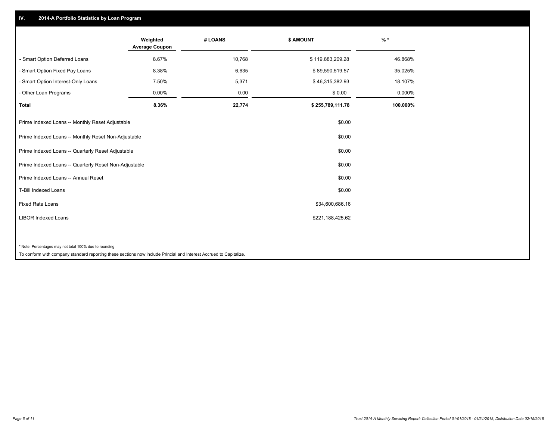### **IV. 2014-A Portfolio Statistics by Loan Program**

|                                                                                                                    | Weighted<br><b>Average Coupon</b> | # LOANS | \$ AMOUNT        | $%$ *    |
|--------------------------------------------------------------------------------------------------------------------|-----------------------------------|---------|------------------|----------|
| - Smart Option Deferred Loans                                                                                      | 8.67%                             | 10,768  | \$119,883,209.28 | 46.868%  |
| - Smart Option Fixed Pay Loans                                                                                     | 8.38%                             | 6,635   | \$89,590,519.57  | 35.025%  |
| - Smart Option Interest-Only Loans                                                                                 | 7.50%                             | 5,371   | \$46,315,382.93  | 18.107%  |
| - Other Loan Programs                                                                                              | 0.00%                             | 0.00    | \$0.00           | 0.000%   |
| Total                                                                                                              | 8.36%                             | 22,774  | \$255,789,111.78 | 100.000% |
| Prime Indexed Loans -- Monthly Reset Adjustable                                                                    |                                   |         | \$0.00           |          |
| Prime Indexed Loans -- Monthly Reset Non-Adjustable                                                                |                                   |         | \$0.00           |          |
| Prime Indexed Loans -- Quarterly Reset Adjustable                                                                  |                                   |         | \$0.00           |          |
| Prime Indexed Loans -- Quarterly Reset Non-Adjustable                                                              |                                   |         | \$0.00           |          |
| Prime Indexed Loans -- Annual Reset                                                                                |                                   |         | \$0.00           |          |
| T-Bill Indexed Loans                                                                                               |                                   |         | \$0.00           |          |
| <b>Fixed Rate Loans</b>                                                                                            |                                   |         | \$34,600,686.16  |          |
| <b>LIBOR Indexed Loans</b>                                                                                         |                                   |         | \$221,188,425.62 |          |
|                                                                                                                    |                                   |         |                  |          |
| * Note: Percentages may not total 100% due to rounding                                                             |                                   |         |                  |          |
| To conform with company standard reporting these sections now include Princial and Interest Accrued to Capitalize. |                                   |         |                  |          |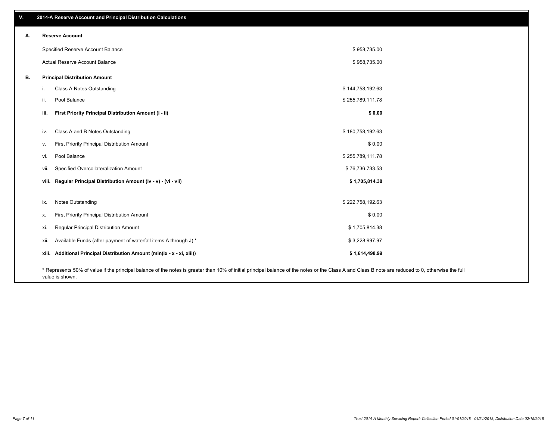| V. |       | 2014-A Reserve Account and Principal Distribution Calculations                                                                                                                                                        |                  |  |
|----|-------|-----------------------------------------------------------------------------------------------------------------------------------------------------------------------------------------------------------------------|------------------|--|
| А. |       | <b>Reserve Account</b>                                                                                                                                                                                                |                  |  |
|    |       | Specified Reserve Account Balance                                                                                                                                                                                     | \$958,735.00     |  |
|    |       | Actual Reserve Account Balance                                                                                                                                                                                        | \$958,735.00     |  |
| В. |       | <b>Principal Distribution Amount</b>                                                                                                                                                                                  |                  |  |
|    |       | Class A Notes Outstanding                                                                                                                                                                                             | \$144,758,192.63 |  |
|    | ii.   | Pool Balance                                                                                                                                                                                                          | \$255,789,111.78 |  |
|    | iii.  | First Priority Principal Distribution Amount (i - ii)                                                                                                                                                                 | \$0.00           |  |
|    |       |                                                                                                                                                                                                                       |                  |  |
|    | iv.   | Class A and B Notes Outstanding                                                                                                                                                                                       | \$180,758,192.63 |  |
|    | v.    | First Priority Principal Distribution Amount                                                                                                                                                                          | \$0.00           |  |
|    | vi.   | Pool Balance                                                                                                                                                                                                          | \$255,789,111.78 |  |
|    | vii.  | Specified Overcollateralization Amount                                                                                                                                                                                | \$76,736,733.53  |  |
|    | viii. | Regular Principal Distribution Amount (iv - v) - (vi - vii)                                                                                                                                                           | \$1,705,814.38   |  |
|    |       |                                                                                                                                                                                                                       |                  |  |
|    | ix.   | <b>Notes Outstanding</b>                                                                                                                                                                                              | \$222,758,192.63 |  |
|    | Х.    | First Priority Principal Distribution Amount                                                                                                                                                                          | \$0.00           |  |
|    | xi.   | Regular Principal Distribution Amount                                                                                                                                                                                 | \$1,705,814.38   |  |
|    | xii.  | Available Funds (after payment of waterfall items A through J) *                                                                                                                                                      | \$3,228,997.97   |  |
|    | xiii. | Additional Principal Distribution Amount (min(ix - x - xi, xiii))                                                                                                                                                     | \$1,614,498.99   |  |
|    |       | * Represents 50% of value if the principal balance of the notes is greater than 10% of initial principal balance of the notes or the Class A and Class B note are reduced to 0, otherwise the full<br>value is shown. |                  |  |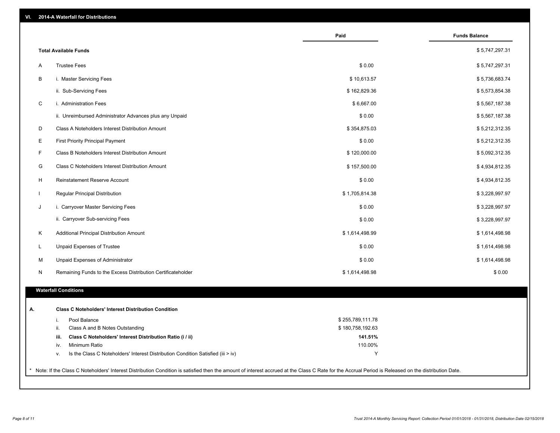|              |                                                                                  | Paid             | <b>Funds Balance</b> |
|--------------|----------------------------------------------------------------------------------|------------------|----------------------|
|              | <b>Total Available Funds</b>                                                     |                  | \$5,747,297.31       |
| A            | <b>Trustee Fees</b>                                                              | \$0.00           | \$5,747,297.31       |
| В            | i. Master Servicing Fees                                                         | \$10,613.57      | \$5,736,683.74       |
|              | ii. Sub-Servicing Fees                                                           | \$162,829.36     | \$5,573,854.38       |
| C            | i. Administration Fees                                                           | \$6,667.00       | \$5,567,187.38       |
|              | ii. Unreimbursed Administrator Advances plus any Unpaid                          | \$0.00           | \$5,567,187.38       |
| D            | Class A Noteholders Interest Distribution Amount                                 | \$354,875.03     | \$5,212,312.35       |
| Е            | <b>First Priority Principal Payment</b>                                          | \$0.00           | \$5,212,312.35       |
| F            | Class B Noteholders Interest Distribution Amount                                 | \$120,000.00     | \$5,092,312.35       |
| G            | Class C Noteholders Interest Distribution Amount                                 | \$157,500.00     | \$4,934,812.35       |
| H            | <b>Reinstatement Reserve Account</b>                                             | \$0.00           | \$4,934,812.35       |
| $\mathbf{I}$ | Regular Principal Distribution                                                   | \$1,705,814.38   | \$3,228,997.97       |
| J            | i. Carryover Master Servicing Fees                                               | \$0.00           | \$3,228,997.97       |
|              | ii. Carryover Sub-servicing Fees                                                 | \$0.00           | \$3,228,997.97       |
| Κ            | Additional Principal Distribution Amount                                         | \$1,614,498.99   | \$1,614,498.98       |
| L            | Unpaid Expenses of Trustee                                                       | \$0.00           | \$1,614,498.98       |
| M            | Unpaid Expenses of Administrator                                                 | \$0.00           | \$1,614,498.98       |
| N            | Remaining Funds to the Excess Distribution Certificateholder                     | \$1,614,498.98   | \$0.00               |
|              |                                                                                  |                  |                      |
|              | <b>Waterfall Conditions</b>                                                      |                  |                      |
|              | <b>Class C Noteholders' Interest Distribution Condition</b>                      |                  |                      |
| i.           | Pool Balance                                                                     | \$255,789,111.78 |                      |
| ii.          | Class A and B Notes Outstanding                                                  | \$180,758,192.63 |                      |
| iii.         | Class C Noteholders' Interest Distribution Ratio (i / ii)                        | 141.51%          |                      |
| iv.          | Minimum Ratio                                                                    | 110.00%          |                      |
| ٧.           | Is the Class C Noteholders' Interest Distribution Condition Satisfied (iii > iv) | Y                |                      |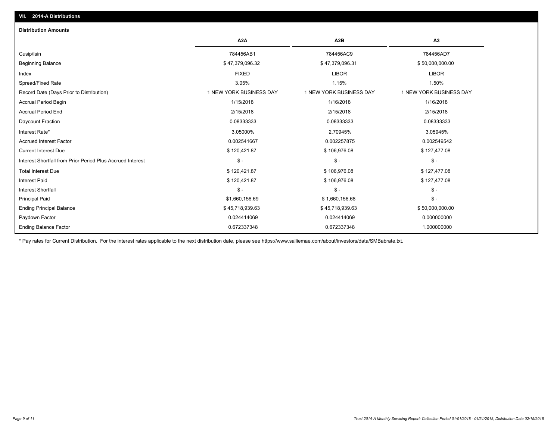| <b>Distribution Amounts</b>                                |                         |                         |                         |
|------------------------------------------------------------|-------------------------|-------------------------|-------------------------|
|                                                            | A <sub>2</sub> A        | A <sub>2</sub> B        | A <sub>3</sub>          |
| Cusip/Isin                                                 | 784456AB1               | 784456AC9               | 784456AD7               |
| <b>Beginning Balance</b>                                   | \$47,379,096.32         | \$47,379,096.31         | \$50,000,000.00         |
| Index                                                      | <b>FIXED</b>            | <b>LIBOR</b>            | <b>LIBOR</b>            |
| Spread/Fixed Rate                                          | 3.05%                   | 1.15%                   | 1.50%                   |
| Record Date (Days Prior to Distribution)                   | 1 NEW YORK BUSINESS DAY | 1 NEW YORK BUSINESS DAY | 1 NEW YORK BUSINESS DAY |
| <b>Accrual Period Begin</b>                                | 1/15/2018               | 1/16/2018               | 1/16/2018               |
| <b>Accrual Period End</b>                                  | 2/15/2018               | 2/15/2018               | 2/15/2018               |
| Daycount Fraction                                          | 0.08333333              | 0.08333333              | 0.08333333              |
| Interest Rate*                                             | 3.05000%                | 2.70945%                | 3.05945%                |
| <b>Accrued Interest Factor</b>                             | 0.002541667             | 0.002257875             | 0.002549542             |
| <b>Current Interest Due</b>                                | \$120,421.87            | \$106,976.08            | \$127,477.08            |
| Interest Shortfall from Prior Period Plus Accrued Interest | $\frac{2}{3}$ -         | $\mathsf{\$}$ -         | $\mathsf{\$}$ -         |
| <b>Total Interest Due</b>                                  | \$120,421.87            | \$106,976.08            | \$127,477.08            |
| <b>Interest Paid</b>                                       | \$120,421.87            | \$106,976.08            | \$127,477.08            |
| <b>Interest Shortfall</b>                                  | $\mathsf{\$}$ -         | $S -$                   | $\mathsf{\$}$ -         |
| <b>Principal Paid</b>                                      | \$1,660,156.69          | \$1,660,156.68          | $\mathsf{\$}$ -         |
| <b>Ending Principal Balance</b>                            | \$45,718,939.63         | \$45,718,939.63         | \$50,000,000.00         |
| Paydown Factor                                             | 0.024414069             | 0.024414069             | 0.000000000             |
| <b>Ending Balance Factor</b>                               | 0.672337348             | 0.672337348             | 1.000000000             |

\* Pay rates for Current Distribution. For the interest rates applicable to the next distribution date, please see https://www.salliemae.com/about/investors/data/SMBabrate.txt.

**VII. 2014-A Distributions**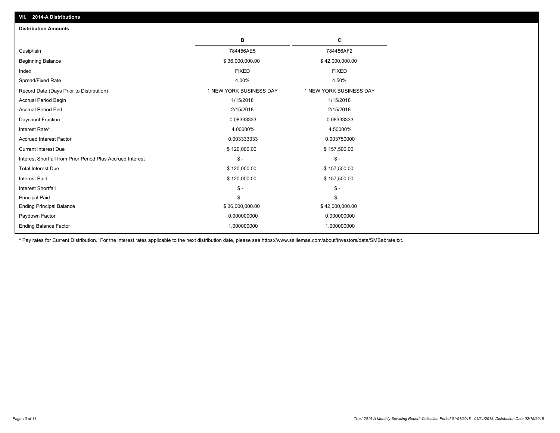| VII. ZVITA DISTINUTIONS                                    |                         |                         |
|------------------------------------------------------------|-------------------------|-------------------------|
| <b>Distribution Amounts</b>                                |                         |                         |
|                                                            | в                       | c                       |
| Cusip/Isin                                                 | 784456AE5               | 784456AF2               |
| <b>Beginning Balance</b>                                   | \$36,000,000.00         | \$42,000,000.00         |
| Index                                                      | <b>FIXED</b>            | <b>FIXED</b>            |
| Spread/Fixed Rate                                          | 4.00%                   | 4.50%                   |
| Record Date (Days Prior to Distribution)                   | 1 NEW YORK BUSINESS DAY | 1 NEW YORK BUSINESS DAY |
| <b>Accrual Period Begin</b>                                | 1/15/2018               | 1/15/2018               |
| <b>Accrual Period End</b>                                  | 2/15/2018               | 2/15/2018               |
| Daycount Fraction                                          | 0.08333333              | 0.08333333              |
| Interest Rate*                                             | 4.00000%                | 4.50000%                |
| Accrued Interest Factor                                    | 0.003333333             | 0.003750000             |
| <b>Current Interest Due</b>                                | \$120,000.00            | \$157,500.00            |
| Interest Shortfall from Prior Period Plus Accrued Interest | $S -$                   | $\mathcal{S}$ -         |
| <b>Total Interest Due</b>                                  | \$120,000.00            | \$157,500.00            |
| <b>Interest Paid</b>                                       | \$120,000.00            | \$157,500.00            |
| <b>Interest Shortfall</b>                                  | $\mathsf{\$}$ -         | $\mathcal{S}$ -         |
| Principal Paid                                             | $\mathsf{\$}$ -         | $\mathsf{\$}$ -         |
| <b>Ending Principal Balance</b>                            | \$36,000,000.00         | \$42,000,000.00         |
| Paydown Factor                                             | 0.000000000             | 0.000000000             |
| <b>Ending Balance Factor</b>                               | 1.000000000             | 1.000000000             |
|                                                            |                         |                         |

\* Pay rates for Current Distribution. For the interest rates applicable to the next distribution date, please see https://www.salliemae.com/about/investors/data/SMBabrate.txt.

**VII. 2014-A Distributions**